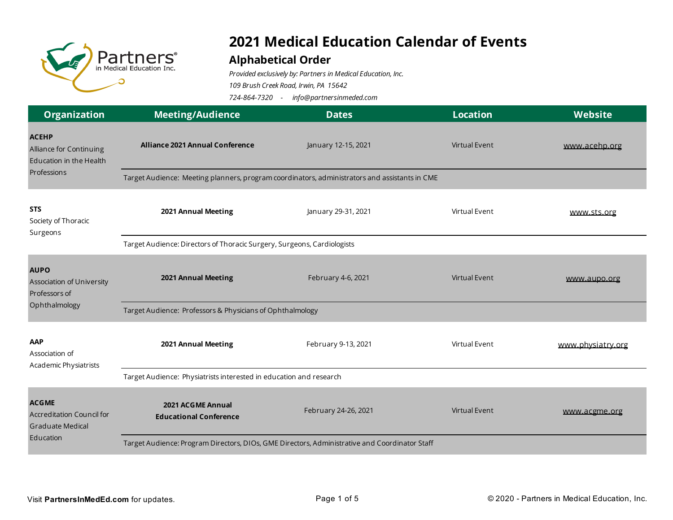

## **2021 Medical Education Calendar of Events**

## **Alphabetical Order**

*Provided exclusively by: Partners in Medical Education, Inc.*

*109 Brush Creek Road, Irwin, PA 15642*

*724-864-7320 - info@partnersinmeded.com* 

| <b>Organization</b>                                                                      | <b>Meeting/Audience</b>                                                                       | <b>Dates</b>         | <b>Location</b>      | Website           |  |  |
|------------------------------------------------------------------------------------------|-----------------------------------------------------------------------------------------------|----------------------|----------------------|-------------------|--|--|
| <b>ACEHP</b><br>Alliance for Continuing<br>Education in the Health                       | <b>Alliance 2021 Annual Conference</b>                                                        | January 12-15, 2021  | Virtual Event        | www.acehp.org     |  |  |
| Professions                                                                              | Target Audience: Meeting planners, program coordinators, administrators and assistants in CME |                      |                      |                   |  |  |
| <b>STS</b><br>Society of Thoracic<br>Surgeons                                            | 2021 Annual Meeting                                                                           | January 29-31, 2021  | Virtual Event        | www.sts.org       |  |  |
|                                                                                          | Target Audience: Directors of Thoracic Surgery, Surgeons, Cardiologists                       |                      |                      |                   |  |  |
| <b>AUPO</b><br>Association of University<br>Professors of<br>Ophthalmology               | 2021 Annual Meeting                                                                           | February 4-6, 2021   | <b>Virtual Event</b> | www.aupo.org      |  |  |
|                                                                                          | Target Audience: Professors & Physicians of Ophthalmology                                     |                      |                      |                   |  |  |
| AAP<br>Association of<br>Academic Physiatrists                                           | 2021 Annual Meeting                                                                           | February 9-13, 2021  | Virtual Event        | www.physiatry.org |  |  |
|                                                                                          | Target Audience: Physiatrists interested in education and research                            |                      |                      |                   |  |  |
| <b>ACGME</b><br><b>Accreditation Council for</b><br><b>Graduate Medical</b><br>Education | 2021 ACGME Annual<br><b>Educational Conference</b>                                            | February 24-26, 2021 | <b>Virtual Event</b> | www.acgme.org     |  |  |
|                                                                                          | Target Audience: Program Directors, DIOs, GME Directors, Administrative and Coordinator Staff |                      |                      |                   |  |  |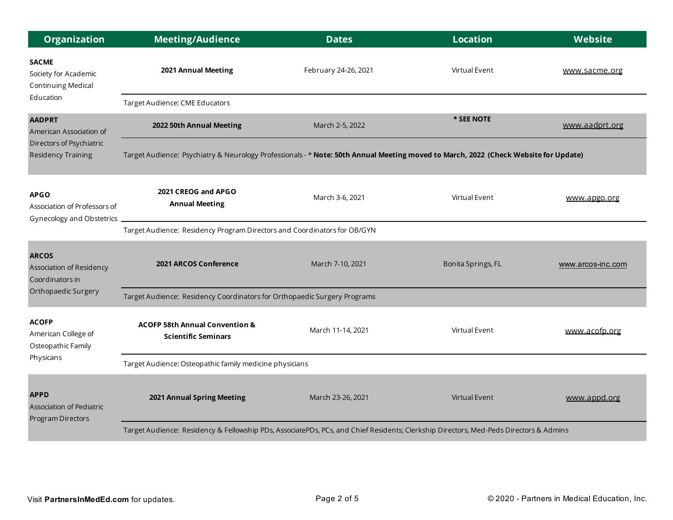| <b>Organization</b>                                                                               | <b>Meeting/Audience</b>                                                                                                               | <b>Dates</b>         | <b>Location</b>      | Website           |  |
|---------------------------------------------------------------------------------------------------|---------------------------------------------------------------------------------------------------------------------------------------|----------------------|----------------------|-------------------|--|
| <b>SACME</b><br>Society for Academic<br>Continuing Medical                                        | 2021 Annual Meeting                                                                                                                   | February 24-26, 2021 | Virtual Event        | www.sacme.org     |  |
| Education                                                                                         | Target Audience: CME Educators                                                                                                        |                      |                      |                   |  |
| <b>AADPRT</b><br>American Association of<br>Directors of Psychiatric<br><b>Residency Training</b> | 2022 50th Annual Meeting                                                                                                              | March 2-5, 2022      | * SEE NOTE           | www.aadprt.org    |  |
|                                                                                                   | Target Audience: Psychiatry & Neurology Professionals - * Note: 50th Annual Meeting moved to March, 2022 (Check Website for Update)   |                      |                      |                   |  |
| <b>APGO</b><br>Association of Professors of<br>Gynecology and Obstetrics                          | 2021 CREOG and APGO<br><b>Annual Meeting</b>                                                                                          | March 3-6, 2021      | Virtual Event        | www.apgo.org      |  |
|                                                                                                   | Target Audience: Residency Program Directors and Coordinators for OB/GYN                                                              |                      |                      |                   |  |
| <b>ARCOS</b><br>Association of Residency<br>Coordinators in<br>Orthopaedic Surgery                | 2021 ARCOS Conference                                                                                                                 | March 7-10, 2021     | Bonita Springs, FL   | www.arcos-inc.com |  |
|                                                                                                   | Target Audience: Residency Coordinators for Orthopaedic Surgery Programs                                                              |                      |                      |                   |  |
| <b>ACOFP</b><br>American College of<br>Osteopathic Family<br>Physicans                            | <b>ACOFP 58th Annual Convention &amp;</b><br><b>Scientific Seminars</b>                                                               | March 11-14, 2021    | Virtual Event        | www.acofp.org     |  |
|                                                                                                   | Target Audience: Osteopathic family medicine physicians                                                                               |                      |                      |                   |  |
| <b>APPD</b><br>Association of Pediatric<br>Program Directors                                      | 2021 Annual Spring Meeting                                                                                                            | March 23-26, 2021    | <b>Virtual Event</b> | www.appd.org      |  |
|                                                                                                   | Target Audience: Residency & Fellowship PDs, AssociatePDs, PCs, and Chief Residents; Clerkship Directors, Med-Peds Directors & Admins |                      |                      |                   |  |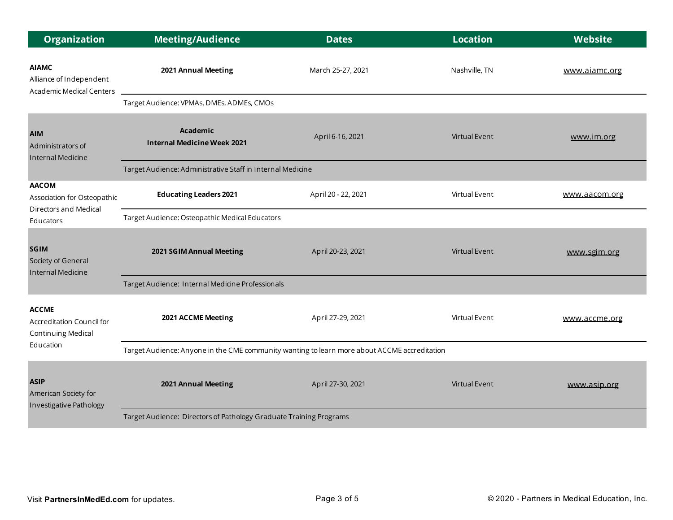| <b>Organization</b>                                                               | <b>Meeting/Audience</b>                                                                      | <b>Dates</b>        | <b>Location</b>      | <b>Website</b> |  |
|-----------------------------------------------------------------------------------|----------------------------------------------------------------------------------------------|---------------------|----------------------|----------------|--|
| <b>AIAMC</b><br>Alliance of Independent<br><b>Academic Medical Centers</b>        | 2021 Annual Meeting                                                                          | March 25-27, 2021   | Nashville, TN        | www.aiamc.org  |  |
|                                                                                   | Target Audience: VPMAs, DMEs, ADMEs, CMOs                                                    |                     |                      |                |  |
| <b>AIM</b><br>Administrators of<br>Internal Medicine                              | <b>Academic</b><br><b>Internal Medicine Week 2021</b>                                        | April 6-16, 2021    | <b>Virtual Event</b> | www.im.org     |  |
|                                                                                   | Target Audience: Administrative Staff in Internal Medicine                                   |                     |                      |                |  |
| <b>AACOM</b><br>Association for Osteopathic<br>Directors and Medical<br>Educators | <b>Educating Leaders 2021</b>                                                                | April 20 - 22, 2021 | Virtual Event        | www.aacom.org  |  |
|                                                                                   | Target Audience: Osteopathic Medical Educators                                               |                     |                      |                |  |
| <b>SGIM</b><br>Society of General<br>Internal Medicine                            | 2021 SGIM Annual Meeting                                                                     | April 20-23, 2021   | <b>Virtual Event</b> | www.sgim.org   |  |
|                                                                                   | Target Audience: Internal Medicine Professionals                                             |                     |                      |                |  |
| <b>ACCME</b><br>Accreditation Council for<br>Continuing Medical<br>Education      | 2021 ACCME Meeting                                                                           | April 27-29, 2021   | Virtual Event        | www.accme.org  |  |
|                                                                                   | Target Audience: Anyone in the CME community wanting to learn more about ACCME accreditation |                     |                      |                |  |
| <b>ASIP</b><br>American Society for<br>Investigative Pathology                    | 2021 Annual Meeting                                                                          | April 27-30, 2021   | <b>Virtual Event</b> | www.asip.org   |  |
|                                                                                   | Target Audience: Directors of Pathology Graduate Training Programs                           |                     |                      |                |  |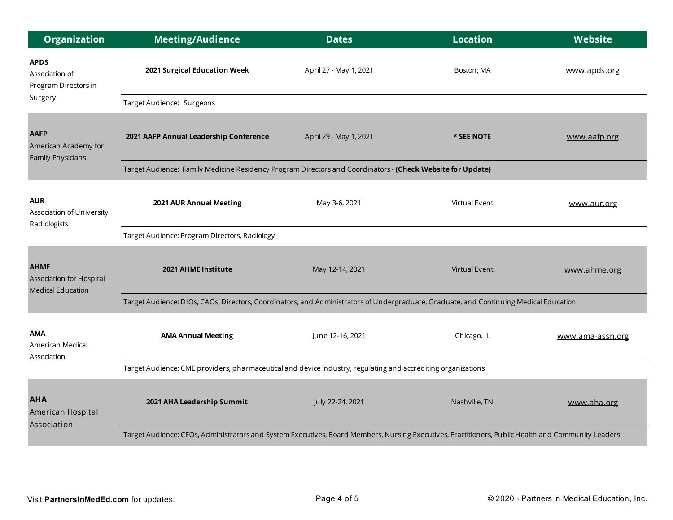| <b>Organization</b>                                                 | <b>Meeting/Audience</b>                                                                                                                            | <b>Dates</b>           | <b>Location</b>      | Website          |  |  |
|---------------------------------------------------------------------|----------------------------------------------------------------------------------------------------------------------------------------------------|------------------------|----------------------|------------------|--|--|
| <b>APDS</b><br>Association of<br>Program Directors in               | 2021 Surgical Education Week                                                                                                                       | April 27 - May 1, 2021 | Boston, MA           | www.apds.org     |  |  |
| Surgery                                                             | Target Audience: Surgeons                                                                                                                          |                        |                      |                  |  |  |
| <b>AAFP</b><br>American Academy for<br><b>Family Physicians</b>     | 2021 AAFP Annual Leadership Conference                                                                                                             | April 29 - May 1, 2021 | * SEE NOTE           | www.aafp.org     |  |  |
|                                                                     | Target Audience: Family Medicine Residency Program Directors and Coordinators - (Check Website for Update)                                         |                        |                      |                  |  |  |
| <b>AUR</b><br>Association of University<br>Radiologists             | 2021 AUR Annual Meeting                                                                                                                            | May 3-6, 2021          | Virtual Event        | www.aur.org      |  |  |
|                                                                     | Target Audience: Program Directors, Radiology                                                                                                      |                        |                      |                  |  |  |
| <b>AHME</b><br>Association for Hospital<br><b>Medical Education</b> | 2021 AHME Institute                                                                                                                                | May 12-14, 2021        | <b>Virtual Event</b> | www.ahme.org     |  |  |
|                                                                     | Target Audience: DIOs, CAOs, Directors, Coordinators, and Administrators of Undergraduate, Graduate, and Continuing Medical Education              |                        |                      |                  |  |  |
| AMA<br>American Medical<br>Association                              | <b>AMA Annual Meeting</b>                                                                                                                          | June 12-16, 2021       | Chicago, IL          | www.ama-assn.org |  |  |
|                                                                     | Target Audience: CME providers, pharmaceutical and device industry, regulating and accrediting organizations                                       |                        |                      |                  |  |  |
| <b>AHA</b><br>American Hospital<br>Association                      | 2021 AHA Leadership Summit                                                                                                                         | July 22-24, 2021       | Nashville, TN        | www.aha.org      |  |  |
|                                                                     | Target Audience: CEOs, Administrators and System Executives, Board Members, Nursing Executives, Practitioners, Public Health and Community Leaders |                        |                      |                  |  |  |